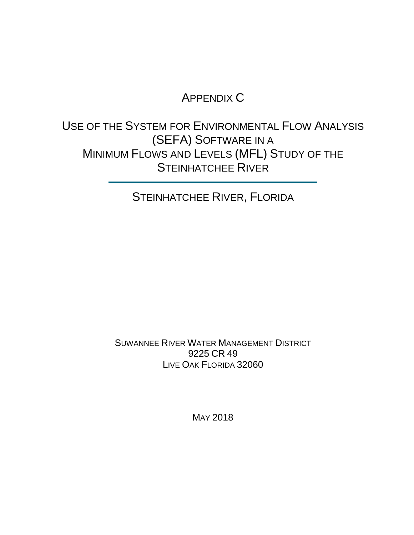# APPENDIX C

USE OF THE SYSTEM FOR ENVIRONMENTAL FLOW ANALYSIS (SEFA) SOFTWARE IN A MINIMUM FLOWS AND LEVELS (MFL) STUDY OF THE STEINHATCHEE RIVER

STEINHATCHEE RIVER, FLORIDA

SUWANNEE RIVER WATER MANAGEMENT DISTRICT 9225 CR 49 LIVE OAK FLORIDA 32060

MAY 2018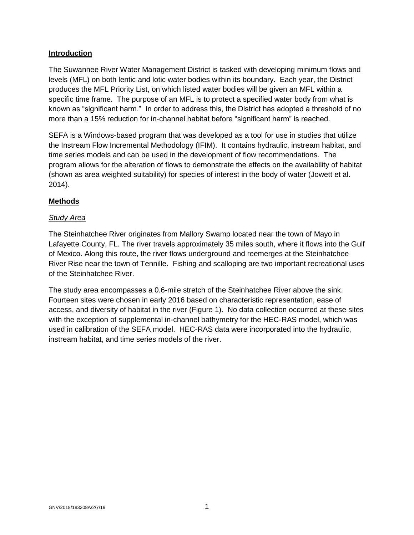# **Introduction**

The Suwannee River Water Management District is tasked with developing minimum flows and levels (MFL) on both lentic and lotic water bodies within its boundary. Each year, the District produces the MFL Priority List, on which listed water bodies will be given an MFL within a specific time frame. The purpose of an MFL is to protect a specified water body from what is known as "significant harm." In order to address this, the District has adopted a threshold of no more than a 15% reduction for in-channel habitat before "significant harm" is reached.

SEFA is a Windows-based program that was developed as a tool for use in studies that utilize the Instream Flow Incremental Methodology (IFIM). It contains hydraulic, instream habitat, and time series models and can be used in the development of flow recommendations. The program allows for the alteration of flows to demonstrate the effects on the availability of habitat (shown as area weighted suitability) for species of interest in the body of water (Jowett et al. 2014).

# **Methods**

## *Study Area*

The Steinhatchee River originates from Mallory Swamp located near the town of Mayo in Lafayette County, FL. The river travels approximately 35 miles south, where it flows into the Gulf of Mexico. Along this route, the river flows underground and reemerges at the Steinhatchee River Rise near the town of Tennille. Fishing and scalloping are two important recreational uses of the Steinhatchee River.

The study area encompasses a 0.6-mile stretch of the Steinhatchee River above the sink. Fourteen sites were chosen in early 2016 based on characteristic representation, ease of access, and diversity of habitat in the river (Figure 1). No data collection occurred at these sites with the exception of supplemental in-channel bathymetry for the HEC-RAS model, which was used in calibration of the SEFA model. HEC-RAS data were incorporated into the hydraulic, instream habitat, and time series models of the river.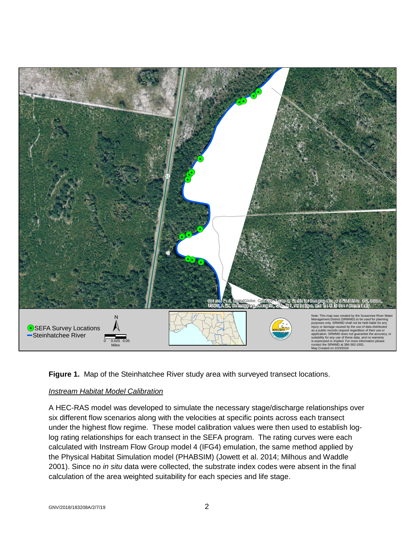

**Figure 1.** Map of the Steinhatchee River study area with surveyed transect locations.

#### *Instream Habitat Model Calibration*

A HEC-RAS model was developed to simulate the necessary stage/discharge relationships over six different flow scenarios along with the velocities at specific points across each transect under the highest flow regime. These model calibration values were then used to establish loglog rating relationships for each transect in the SEFA program. The rating curves were each calculated with Instream Flow Group model 4 (IFG4) emulation, the same method applied by the Physical Habitat Simulation model (PHABSIM) (Jowett et al. 2014; Milhous and Waddle 2001). Since no *in situ* data were collected, the substrate index codes were absent in the final calculation of the area weighted suitability for each species and life stage.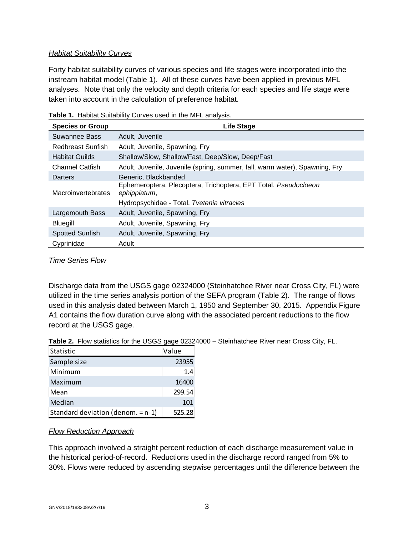# *Habitat Suitability Curves*

Forty habitat suitability curves of various species and life stages were incorporated into the instream habitat model (Table 1). All of these curves have been applied in previous MFL analyses. Note that only the velocity and depth criteria for each species and life stage were taken into account in the calculation of preference habitat.

| <b>Species or Group</b>                                                                                      | Life Stage                                                                  |  |  |  |
|--------------------------------------------------------------------------------------------------------------|-----------------------------------------------------------------------------|--|--|--|
| Suwannee Bass                                                                                                | Adult, Juvenile                                                             |  |  |  |
| Redbreast Sunfish                                                                                            | Adult, Juvenile, Spawning, Fry                                              |  |  |  |
| <b>Habitat Guilds</b>                                                                                        | Shallow/Slow, Shallow/Fast, Deep/Slow, Deep/Fast                            |  |  |  |
| <b>Channel Catfish</b>                                                                                       | Adult, Juvenile, Juvenile (spring, summer, fall, warm water), Spawning, Fry |  |  |  |
| Darters                                                                                                      | Generic, Blackbanded                                                        |  |  |  |
| Ephemeroptera, Plecoptera, Trichoptera, EPT Total, Pseudocloeon<br><b>Macroinvertebrates</b><br>ephippiatum, |                                                                             |  |  |  |
|                                                                                                              | Hydropsychidae - Total, Tvetenia vitracies                                  |  |  |  |
| Largemouth Bass                                                                                              | Adult, Juvenile, Spawning, Fry                                              |  |  |  |
| Bluegill                                                                                                     | Adult, Juvenile, Spawning, Fry                                              |  |  |  |
| <b>Spotted Sunfish</b>                                                                                       | Adult, Juvenile, Spawning, Fry                                              |  |  |  |
| Cyprinidae                                                                                                   | Adult                                                                       |  |  |  |

**Table 1.** Habitat Suitability Curves used in the MFL analysis.

#### *Time Series Flow*

Discharge data from the USGS gage 02324000 (Steinhatchee River near Cross City, FL) were utilized in the time series analysis portion of the SEFA program (Table 2). The range of flows used in this analysis dated between March 1, 1950 and September 30, 2015. Appendix Figure A1 contains the flow duration curve along with the associated percent reductions to the flow record at the USGS gage.

| Table 2. Flow statistics for the USGS gage 02324000 - Steinhatchee River near Cross City, FL. |
|-----------------------------------------------------------------------------------------------|
|-----------------------------------------------------------------------------------------------|

| <b>Statistic</b>                     | Value  |  |
|--------------------------------------|--------|--|
| Sample size                          | 23955  |  |
| Minimum                              | 1.4    |  |
| Maximum                              | 16400  |  |
| Mean                                 | 299.54 |  |
| Median                               | 101    |  |
| Standard deviation (denom. $= n-1$ ) | 525.28 |  |

#### *Flow Reduction Approach*

This approach involved a straight percent reduction of each discharge measurement value in the historical period-of-record. Reductions used in the discharge record ranged from 5% to 30%. Flows were reduced by ascending stepwise percentages until the difference between the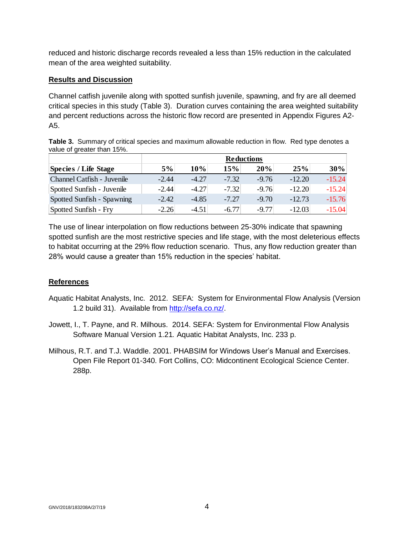reduced and historic discharge records revealed a less than 15% reduction in the calculated mean of the area weighted suitability.

# **Results and Discussion**

Channel catfish juvenile along with spotted sunfish juvenile, spawning, and fry are all deemed critical species in this study (Table 3). Duration curves containing the area weighted suitability and percent reductions across the historic flow record are presented in Appendix Figures A2- A5.

value of greater than 15%.

|                             | <b>Reductions</b> |         |         |         |          |          |  |
|-----------------------------|-------------------|---------|---------|---------|----------|----------|--|
| <b>Species / Life Stage</b> | 5%                | 10%     | 15%     | 20%     | 25%      | 30%      |  |
| Channel Catfish - Juvenile  | $-2.44$           | $-4.27$ | $-7.32$ | $-9.76$ | $-12.20$ | $-15.24$ |  |
| Spotted Sunfish - Juvenile  | $-2.44$           | $-4.27$ | $-7.32$ | $-9.76$ | $-12.20$ | $-15.24$ |  |
| Spotted Sunfish - Spawning  | $-2.42$           | $-4.85$ | $-7.27$ | $-9.70$ | $-12.73$ | $-15.76$ |  |
| Spotted Sunfish - Fry       | $-2.26$           | $-4.51$ | $-6.77$ | $-9.77$ | $-12.03$ | $-15.04$ |  |

The use of linear interpolation on flow reductions between 25-30% indicate that spawning spotted sunfish are the most restrictive species and life stage, with the most deleterious effects to habitat occurring at the 29% flow reduction scenario. Thus, any flow reduction greater than 28% would cause a greater than 15% reduction in the species' habitat.

# **References**

- Aquatic Habitat Analysts, Inc. 2012. SEFA: System for Environmental Flow Analysis (Version 1.2 build 31). Available from [http://sefa.co.nz/.](http://sefa.co.nz/)
- Jowett, I., T. Payne, and R. Milhous. 2014. SEFA: System for Environmental Flow Analysis Software Manual Version 1.21*.* Aquatic Habitat Analysts, Inc. 233 p.
- Milhous, R.T. and T.J. Waddle. 2001. PHABSIM for Windows User's Manual and Exercises. Open File Report 01-340. Fort Collins, CO: Midcontinent Ecological Science Center. 288p.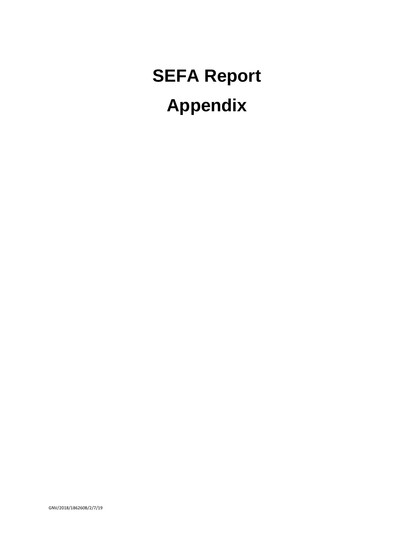# **SEFA Report Appendix**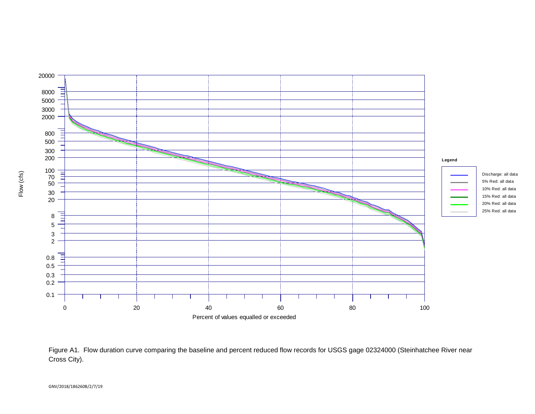

Figure A1. Flow duration curve comparing the baseline and percent reduced flow records for USGS gage 02324000 (Steinhatchee River near

GNV/2018/186260B/2/7/19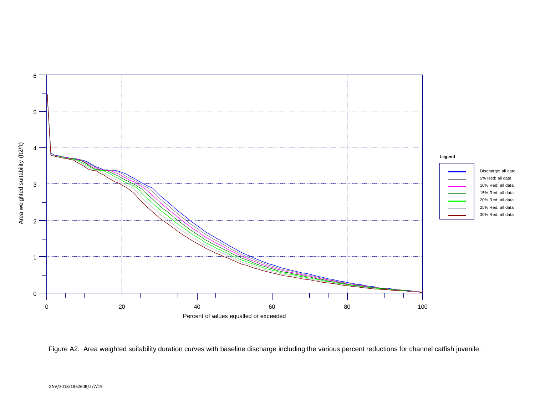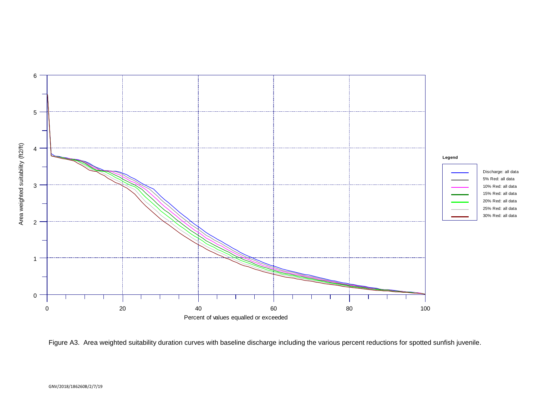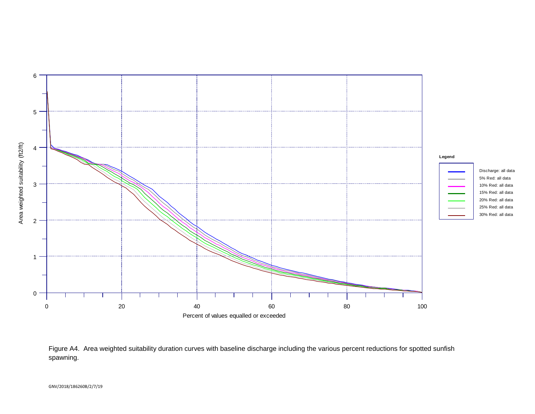

Figure A4. Area weighted suitability duration curves with baseline discharge including the various percent reductions for spotted sunfish